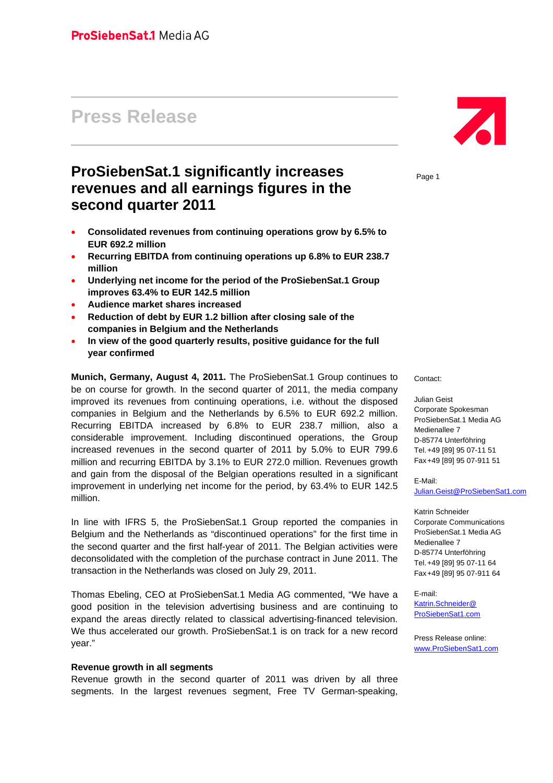# **Press Release**

## **ProSiebenSat.1 significantly increases revenues and all earnings figures in the second quarter 2011**

- **Consolidated revenues from continuing operations grow by 6.5% to EUR 692.2 million**
- **Recurring EBITDA from continuing operations up 6.8% to EUR 238.7 million**
- **Underlying net income for the period of the ProSiebenSat.1 Group improves 63.4% to EUR 142.5 million**
- **Audience market shares increased**
- **Reduction of debt by EUR 1.2 billion after closing sale of the companies in Belgium and the Netherlands**
- **In view of the good quarterly results, positive guidance for the full year confirmed**

**Munich, Germany, August 4, 2011.** The ProSiebenSat.1 Group continues to be on course for growth. In the second quarter of 2011, the media company improved its revenues from continuing operations, i.e. without the disposed companies in Belgium and the Netherlands by 6.5% to EUR 692.2 million. Recurring EBITDA increased by 6.8% to EUR 238.7 million, also a considerable improvement. Including discontinued operations, the Group increased revenues in the second quarter of 2011 by 5.0% to EUR 799.6 million and recurring EBITDA by 3.1% to EUR 272.0 million. Revenues growth and gain from the disposal of the Belgian operations resulted in a significant improvement in underlying net income for the period, by 63.4% to EUR 142.5 million.

In line with IFRS 5, the ProSiebenSat.1 Group reported the companies in Belgium and the Netherlands as "discontinued operations" for the first time in the second quarter and the first half-year of 2011. The Belgian activities were deconsolidated with the completion of the purchase contract in June 2011. The transaction in the Netherlands was closed on July 29, 2011.

Thomas Ebeling, CEO at ProSiebenSat.1 Media AG commented, "We have a good position in the television advertising business and are continuing to expand the areas directly related to classical advertising-financed television. We thus accelerated our growth. ProSiebenSat.1 is on track for a new record year."

#### **Revenue growth in all segments**

Revenue growth in the second quarter of 2011 was driven by all three segments. In the largest revenues segment, Free TV German-speaking,



Page 1

Contact:

Julian Geist Corporate Spokesman ProSiebenSat.1 Media AG Medienallee 7 D-85774 Unterföhring Tel. +49 [89] 95 07-11 51 Fax +49 [89] 95 07-911 51

E-Mail: Julian.Geist@ProSiebenSat1.com

Katrin Schneider Corporate Communications ProSiebenSat.1 Media AG Medienallee 7 D-85774 Unterföhring Tel. +49 [89] 95 07-11 64 Fax +49 [89] 95 07-911 64

E-mail: Katrin.Schneider@ ProSiebenSat1.com

Press Release online: www.ProSiebenSat1.com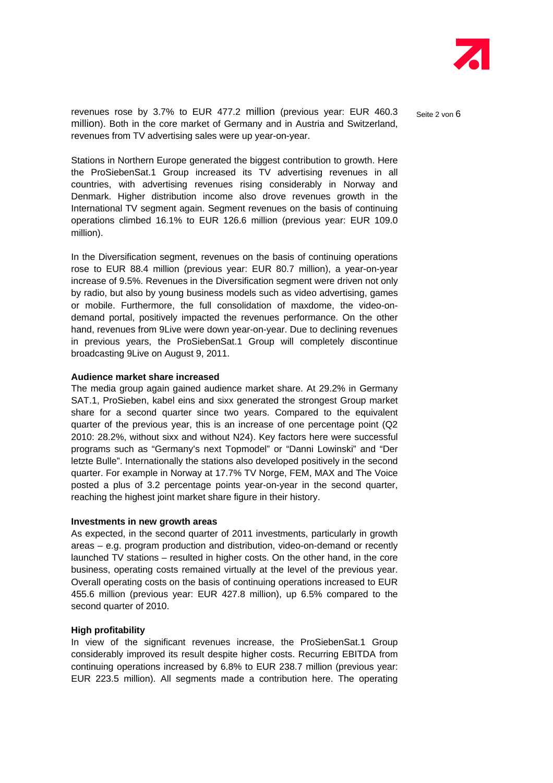

revenues rose by 3.7% to EUR 477.2 million (previous year: EUR 460.3 Seite 2 von 6 million). Both in the core market of Germany and in Austria and Switzerland, revenues from TV advertising sales were up year-on-year.

Stations in Northern Europe generated the biggest contribution to growth. Here the ProSiebenSat.1 Group increased its TV advertising revenues in all countries, with advertising revenues rising considerably in Norway and Denmark. Higher distribution income also drove revenues growth in the International TV segment again. Segment revenues on the basis of continuing operations climbed 16.1% to EUR 126.6 million (previous year: EUR 109.0 million).

In the Diversification segment, revenues on the basis of continuing operations rose to EUR 88.4 million (previous year: EUR 80.7 million), a year-on-year increase of 9.5%. Revenues in the Diversification segment were driven not only by radio, but also by young business models such as video advertising, games or mobile. Furthermore, the full consolidation of maxdome, the video-ondemand portal, positively impacted the revenues performance. On the other hand, revenues from 9Live were down year-on-year. Due to declining revenues in previous years, the ProSiebenSat.1 Group will completely discontinue broadcasting 9Live on August 9, 2011.

#### **Audience market share increased**

The media group again gained audience market share. At 29.2% in Germany SAT.1, ProSieben, kabel eins and sixx generated the strongest Group market share for a second quarter since two years. Compared to the equivalent quarter of the previous year, this is an increase of one percentage point (Q2 2010: 28.2%, without sixx and without N24). Key factors here were successful programs such as "Germany's next Topmodel" or "Danni Lowinski" and "Der letzte Bulle". Internationally the stations also developed positively in the second quarter. For example in Norway at 17.7% TV Norge, FEM, MAX and The Voice posted a plus of 3.2 percentage points year-on-year in the second quarter, reaching the highest joint market share figure in their history.

#### **Investments in new growth areas**

As expected, in the second quarter of 2011 investments, particularly in growth areas – e.g. program production and distribution, video-on-demand or recently launched TV stations – resulted in higher costs. On the other hand, in the core business, operating costs remained virtually at the level of the previous year. Overall operating costs on the basis of continuing operations increased to EUR 455.6 million (previous year: EUR 427.8 million), up 6.5% compared to the second quarter of 2010.

#### **High profitability**

In view of the significant revenues increase, the ProSiebenSat.1 Group considerably improved its result despite higher costs. Recurring EBITDA from continuing operations increased by 6.8% to EUR 238.7 million (previous year: EUR 223.5 million). All segments made a contribution here. The operating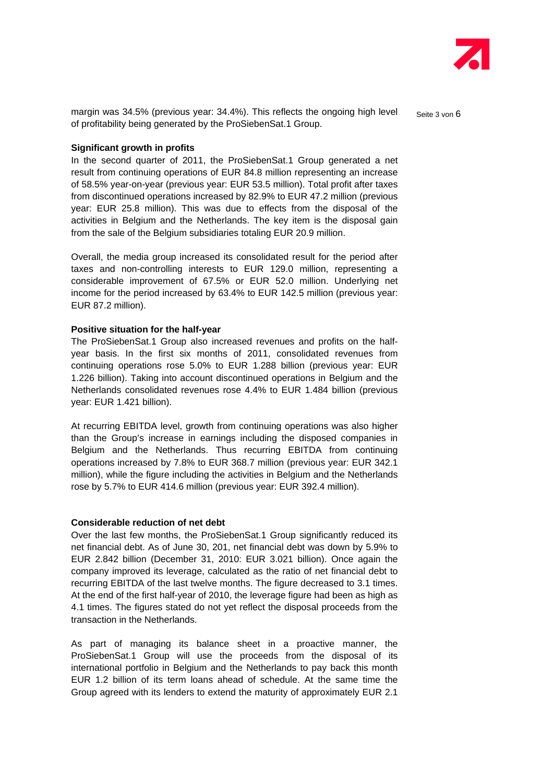

margin was 34.5% (previous year: 34.4%). This reflects the ongoing high level Seite 3 von 6 of profitability being generated by the ProSiebenSat.1 Group.

#### **Significant growth in profits**

In the second quarter of 2011, the ProSiebenSat.1 Group generated a net result from continuing operations of EUR 84.8 million representing an increase of 58.5% year-on-year (previous year: EUR 53.5 million). Total profit after taxes from discontinued operations increased by 82.9% to EUR 47.2 million (previous year: EUR 25.8 million). This was due to effects from the disposal of the activities in Belgium and the Netherlands. The key item is the disposal gain from the sale of the Belgium subsidiaries totaling EUR 20.9 million.

Overall, the media group increased its consolidated result for the period after taxes and non-controlling interests to EUR 129.0 million, representing a considerable improvement of 67.5% or EUR 52.0 million. Underlying net income for the period increased by 63.4% to EUR 142.5 million (previous year: EUR 87.2 million).

#### **Positive situation for the half-year**

The ProSiebenSat.1 Group also increased revenues and profits on the halfyear basis. In the first six months of 2011, consolidated revenues from continuing operations rose 5.0% to EUR 1.288 billion (previous year: EUR 1.226 billion). Taking into account discontinued operations in Belgium and the Netherlands consolidated revenues rose 4.4% to EUR 1.484 billion (previous year: EUR 1.421 billion).

At recurring EBITDA level, growth from continuing operations was also higher than the Group's increase in earnings including the disposed companies in Belgium and the Netherlands. Thus recurring EBITDA from continuing operations increased by 7.8% to EUR 368.7 million (previous year: EUR 342.1 million), while the figure including the activities in Belgium and the Netherlands rose by 5.7% to EUR 414.6 million (previous year: EUR 392.4 million).

#### **Considerable reduction of net debt**

Over the last few months, the ProSiebenSat.1 Group significantly reduced its net financial debt. As of June 30, 201, net financial debt was down by 5.9% to EUR 2.842 billion (December 31, 2010: EUR 3.021 billion). Once again the company improved its leverage, calculated as the ratio of net financial debt to recurring EBITDA of the last twelve months. The figure decreased to 3.1 times. At the end of the first half-year of 2010, the leverage figure had been as high as 4.1 times. The figures stated do not yet reflect the disposal proceeds from the transaction in the Netherlands.

As part of managing its balance sheet in a proactive manner, the ProSiebenSat.1 Group will use the proceeds from the disposal of its international portfolio in Belgium and the Netherlands to pay back this month EUR 1.2 billion of its term loans ahead of schedule. At the same time the Group agreed with its lenders to extend the maturity of approximately EUR 2.1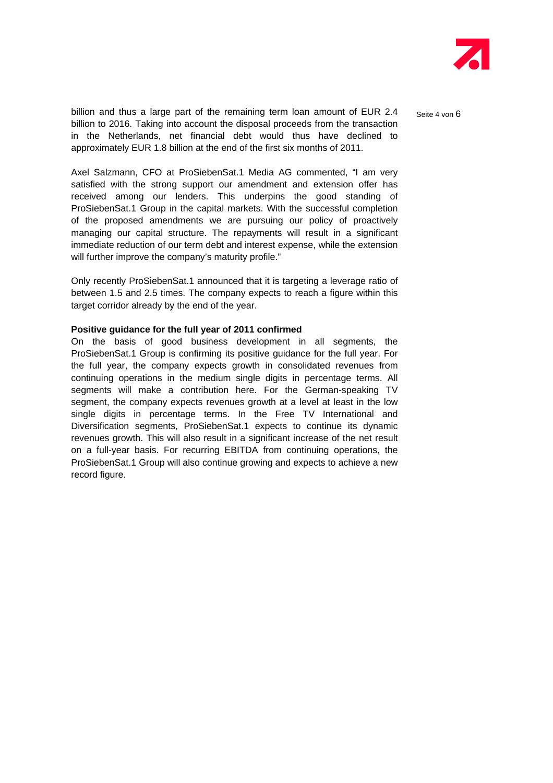

billion and thus a large part of the remaining term loan amount of EUR 2.4 Seite 4 von 6 billion to 2016. Taking into account the disposal proceeds from the transaction in the Netherlands, net financial debt would thus have declined to approximately EUR 1.8 billion at the end of the first six months of 2011.

Axel Salzmann, CFO at ProSiebenSat.1 Media AG commented, "I am very satisfied with the strong support our amendment and extension offer has received among our lenders. This underpins the good standing of ProSiebenSat.1 Group in the capital markets. With the successful completion of the proposed amendments we are pursuing our policy of proactively managing our capital structure. The repayments will result in a significant immediate reduction of our term debt and interest expense, while the extension will further improve the company's maturity profile."

Only recently ProSiebenSat.1 announced that it is targeting a leverage ratio of between 1.5 and 2.5 times. The company expects to reach a figure within this target corridor already by the end of the year.

#### **Positive guidance for the full year of 2011 confirmed**

On the basis of good business development in all segments, the ProSiebenSat.1 Group is confirming its positive guidance for the full year. For the full year, the company expects growth in consolidated revenues from continuing operations in the medium single digits in percentage terms. All segments will make a contribution here. For the German-speaking TV segment, the company expects revenues growth at a level at least in the low single digits in percentage terms. In the Free TV International and Diversification segments, ProSiebenSat.1 expects to continue its dynamic revenues growth. This will also result in a significant increase of the net result on a full-year basis. For recurring EBITDA from continuing operations, the ProSiebenSat.1 Group will also continue growing and expects to achieve a new record figure.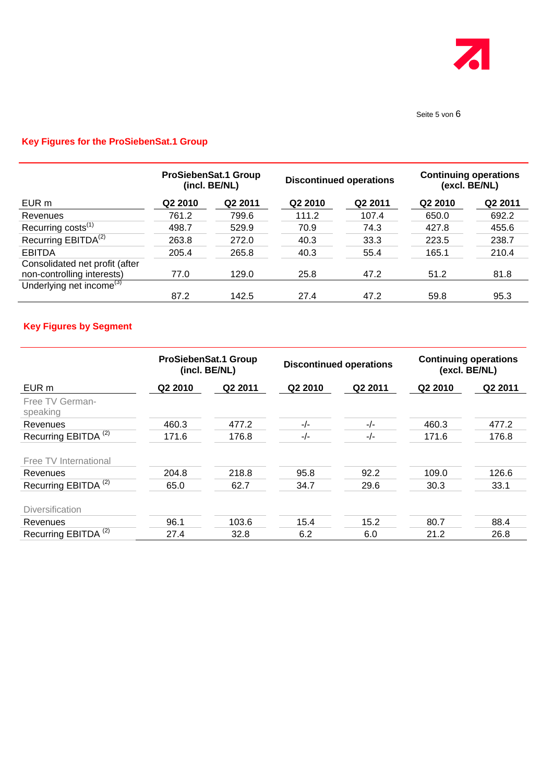

#### Seite 5 von 6

## **Key Figures for the ProSiebenSat.1 Group**

|                                      | <b>ProSiebenSat.1 Group</b><br>(incl. BE/NL) |         | <b>Discontinued operations</b> |         | <b>Continuing operations</b><br>(excl. BE/NL) |                     |
|--------------------------------------|----------------------------------------------|---------|--------------------------------|---------|-----------------------------------------------|---------------------|
| EUR m                                | Q2 2010                                      | Q2 2011 | Q2 2010                        | Q2 2011 | Q2 2010                                       | Q <sub>2</sub> 2011 |
| Revenues                             | 761.2                                        | 799.6   | 111.2                          | 107.4   | 650.0                                         | 692.2               |
| Recurring costs <sup>(1)</sup>       | 498.7                                        | 529.9   | 70.9                           | 74.3    | 427.8                                         | 455.6               |
| Recurring EBITDA <sup>(2)</sup>      | 263.8                                        | 272.0   | 40.3                           | 33.3    | 223.5                                         | 238.7               |
| <b>EBITDA</b>                        | 205.4                                        | 265.8   | 40.3                           | 55.4    | 165.1                                         | 210.4               |
| Consolidated net profit (after       |                                              |         |                                |         |                                               |                     |
| non-controlling interests)           | 77.0                                         | 129.0   | 25.8                           | 47.2    | 51.2                                          | 81.8                |
| Underlying net income <sup>(3)</sup> |                                              |         |                                |         |                                               |                     |
|                                      | 87.2                                         | 142.5   | 27.4                           | 47.2    | 59.8                                          | 95.3                |

### **Key Figures by Segment**

|                                 | <b>ProSiebenSat.1 Group</b><br>(incl. BE/NL) |                     | <b>Discontinued operations</b> |                     | <b>Continuing operations</b><br>(excl. BE/NL) |         |
|---------------------------------|----------------------------------------------|---------------------|--------------------------------|---------------------|-----------------------------------------------|---------|
| EUR m                           | Q2 2010                                      | Q <sub>2</sub> 2011 | Q <sub>2</sub> 2010            | Q <sub>2</sub> 2011 | Q2 2010                                       | Q2 2011 |
| Free TV German-<br>speaking     |                                              |                     |                                |                     |                                               |         |
| Revenues                        | 460.3                                        | 477.2               | $-/-$                          | $-/-$               | 460.3                                         | 477.2   |
| Recurring EBITDA <sup>(2)</sup> | 171.6                                        | 176.8               | $-/-$                          | $-/-$               | 171.6                                         | 176.8   |
| Free TV International           |                                              |                     |                                |                     |                                               |         |
| Revenues                        | 204.8                                        | 218.8               | 95.8                           | 92.2                | 109.0                                         | 126.6   |
| Recurring EBITDA <sup>(2)</sup> | 65.0                                         | 62.7                | 34.7                           | 29.6                | 30.3                                          | 33.1    |
| <b>Diversification</b>          |                                              |                     |                                |                     |                                               |         |
| Revenues                        | 96.1                                         | 103.6               | 15.4                           | 15.2                | 80.7                                          | 88.4    |
| Recurring EBITDA <sup>(2)</sup> | 27.4                                         | 32.8                | 6.2                            | 6.0                 | 21.2                                          | 26.8    |